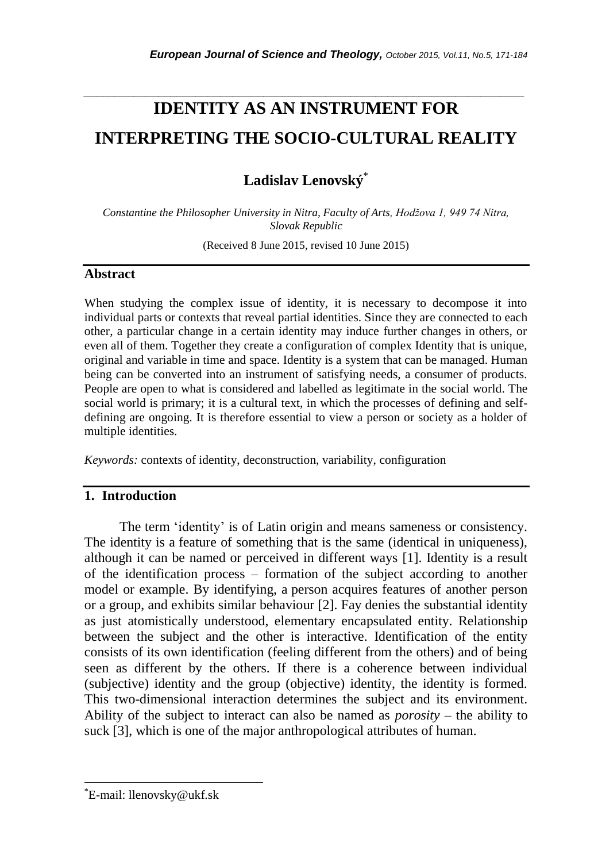# **IDENTITY AS AN INSTRUMENT FOR INTERPRETING THE SOCIO-CULTURAL REALITY**

*\_\_\_\_\_\_\_\_\_\_\_\_\_\_\_\_\_\_\_\_\_\_\_\_\_\_\_\_\_\_\_\_\_\_\_\_\_\_\_\_\_\_\_\_\_\_\_\_\_\_\_\_\_\_\_\_\_\_\_\_\_\_\_\_\_\_\_\_\_\_\_*

**Ladislav Lenovský**\*

*Constantine the Philosopher University in Nitra, Faculty of Arts, Hodžova 1, 949 74 Nitra, Slovak Republic*

(Received 8 June 2015, revised 10 June 2015)

## **Abstract**

When studying the complex issue of identity, it is necessary to decompose it into individual parts or contexts that reveal partial identities. Since they are connected to each other, a particular change in a certain identity may induce further changes in others, or even all of them. Together they create a configuration of complex Identity that is unique, original and variable in time and space. Identity is a system that can be managed. Human being can be converted into an instrument of satisfying needs, a consumer of products. People are open to what is considered and labelled as legitimate in the social world. The social world is primary; it is a cultural text, in which the processes of defining and selfdefining are ongoing. It is therefore essential to view a person or society as a holder of multiple identities.

*Keywords:* contexts of identity, deconstruction, variability, configuration

## **1. Introduction**

The term 'identity' is of Latin origin and means sameness or consistency. The identity is a feature of something that is the same (identical in uniqueness), although it can be named or perceived in different ways [1]. Identity is a result of the identification process – formation of the subject according to another model or example. By identifying, a person acquires features of another person or a group, and exhibits similar behaviour [2]. Fay denies the substantial identity as just atomistically understood, elementary encapsulated entity. Relationship between the subject and the other is interactive. Identification of the entity consists of its own identification (feeling different from the others) and of being seen as different by the others. If there is a coherence between individual (subjective) identity and the group (objective) identity, the identity is formed. This two-dimensional interaction determines the subject and its environment. Ability of the subject to interact can also be named as *porosity* – the ability to suck [3], which is one of the major anthropological attributes of human.

l

<sup>\*</sup>E-mail: llenovsky@ukf.sk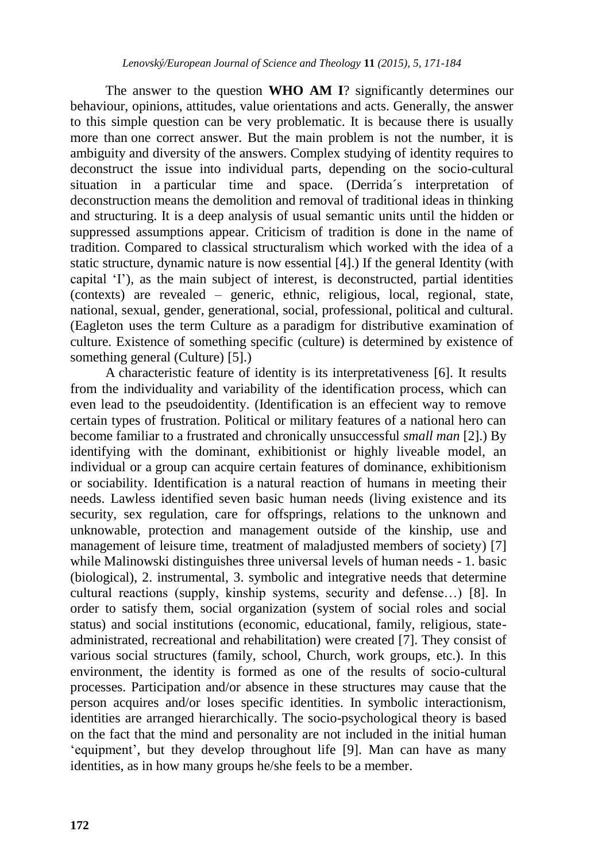The answer to the question **WHO AM I**? significantly determines our behaviour, opinions, attitudes, value orientations and acts. Generally, the answer to this simple question can be very problematic. It is because there is usually more than one correct answer. But the main problem is not the number, it is ambiguity and diversity of the answers. Complex studying of identity requires to deconstruct the issue into individual parts, depending on the socio-cultural situation in a particular time and space. (Derrida´s interpretation of deconstruction means the demolition and removal of traditional ideas in thinking and structuring. It is a deep analysis of usual semantic units until the hidden or suppressed assumptions appear. Criticism of tradition is done in the name of tradition. Compared to classical structuralism which worked with the idea of a static structure, dynamic nature is now essential [4].) If the general Identity (with capital 'I'), as the main subject of interest, is deconstructed, partial identities (contexts) are revealed – generic, ethnic, religious, local, regional, state, national, sexual, gender, generational, social, professional, political and cultural. (Eagleton uses the term Culture as a paradigm for distributive examination of culture. Existence of something specific (culture) is determined by existence of something general (Culture) [5].)

A characteristic feature of identity is its interpretativeness [6]. It results from the individuality and variability of the identification process, which can even lead to the pseudoidentity. (Identification is an effecient way to remove certain types of frustration. Political or military features of a national hero can become familiar to a frustrated and chronically unsuccessful *small man* [2].) By identifying with the dominant, exhibitionist or highly liveable model, an individual or a group can acquire certain features of dominance, exhibitionism or sociability. Identification is a natural reaction of humans in meeting their needs. Lawless identified seven basic human needs (living existence and its security, sex regulation, care for offsprings, relations to the unknown and unknowable, protection and management outside of the kinship, use and management of leisure time, treatment of maladjusted members of society) [7] while Malinowski distinguishes three universal levels of human needs - 1. basic (biological), 2. instrumental, 3. symbolic and integrative needs that determine cultural reactions (supply, kinship systems, security and defense…) [8]. In order to satisfy them, social organization (system of social roles and social status) and social institutions (economic, educational, family, religious, stateadministrated, recreational and rehabilitation) were created [7]. They consist of various social structures (family, school, Church, work groups, etc.). In this environment, the identity is formed as one of the results of socio-cultural processes. Participation and/or absence in these structures may cause that the person acquires and/or loses specific identities. In symbolic interactionism, identities are arranged hierarchically. The socio-psychological theory is based on the fact that the mind and personality are not included in the initial human 'equipment', but they develop throughout life [9]. Man can have as many identities, as in how many groups he/she feels to be a member.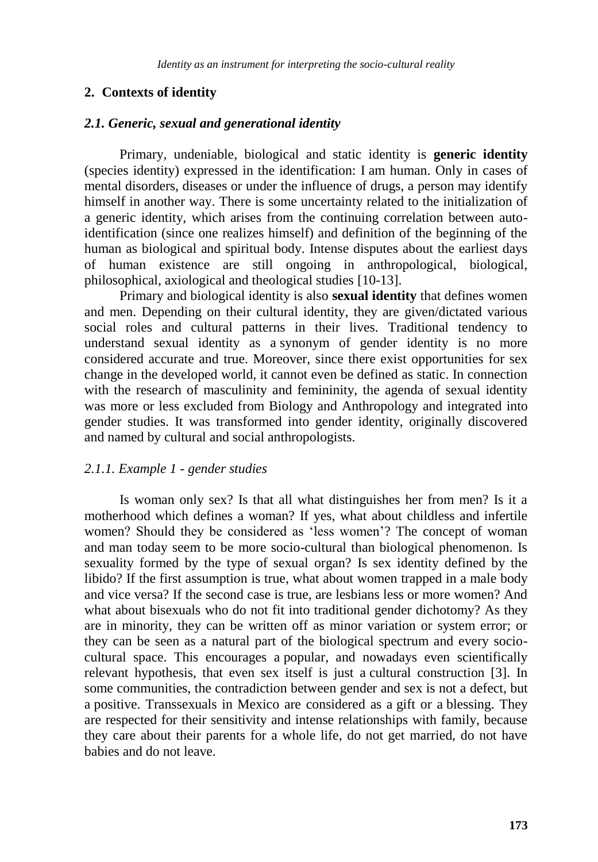## **2. Contexts of identity**

#### *2.1. Generic, sexual and generational identity*

Primary, undeniable, biological and static identity is **generic identity** (species identity) expressed in the identification: I am human. Only in cases of mental disorders, diseases or under the influence of drugs, a person may identify himself in another way. There is some uncertainty related to the initialization of a generic identity, which arises from the continuing correlation between autoidentification (since one realizes himself) and definition of the beginning of the human as biological and spiritual body. Intense disputes about the earliest days of human existence are still ongoing in anthropological, biological, philosophical, axiological and theological studies [10-13].

Primary and biological identity is also **sexual identity** that defines women and men. Depending on their cultural identity, they are given/dictated various social roles and cultural patterns in their lives. Traditional tendency to understand sexual identity as a synonym of gender identity is no more considered accurate and true. Moreover, since there exist opportunities for sex change in the developed world, it cannot even be defined as static. In connection with the research of masculinity and femininity, the agenda of sexual identity was more or less excluded from Biology and Anthropology and integrated into gender studies. It was transformed into gender identity, originally discovered and named by cultural and social anthropologists.

## *2.1.1. Example 1 - gender studies*

Is woman only sex? Is that all what distinguishes her from men? Is it a motherhood which defines a woman? If yes, what about childless and infertile women? Should they be considered as 'less women'? The concept of woman and man today seem to be more socio-cultural than biological phenomenon. Is sexuality formed by the type of sexual organ? Is sex identity defined by the libido? If the first assumption is true, what about women trapped in a male body and vice versa? If the second case is true, are lesbians less or more women? And what about bisexuals who do not fit into traditional gender dichotomy? As they are in minority, they can be written off as minor variation or system error; or they can be seen as a natural part of the biological spectrum and every sociocultural space. This encourages a popular, and nowadays even scientifically relevant hypothesis, that even sex itself is just a cultural construction [3]. In some communities, the contradiction between gender and sex is not a defect, but a positive. Transsexuals in Mexico are considered as a gift or a blessing. They are respected for their sensitivity and intense relationships with family, because they care about their parents for a whole life, do not get married, do not have babies and do not leave.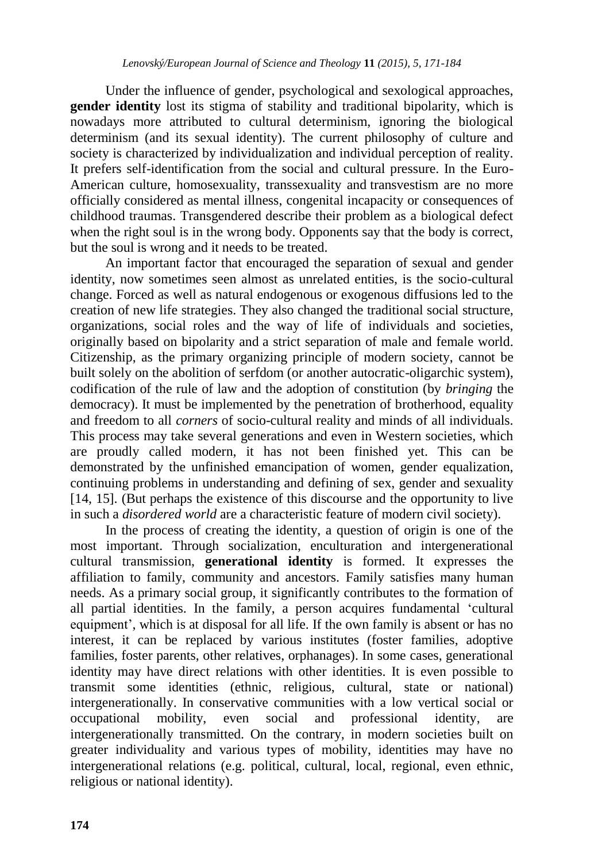Under the influence of gender, psychological and sexological approaches, **gender identity** lost its stigma of stability and traditional bipolarity, which is nowadays more attributed to cultural determinism, ignoring the biological determinism (and its sexual identity). The current philosophy of culture and society is characterized by individualization and individual perception of reality. It prefers self-identification from the social and cultural pressure. In the Euro-American culture, homosexuality, transsexuality and transvestism are no more officially considered as mental illness, congenital incapacity or consequences of childhood traumas. Transgendered describe their problem as a biological defect when the right soul is in the wrong body. Opponents say that the body is correct, but the soul is wrong and it needs to be treated.

An important factor that encouraged the separation of sexual and gender identity, now sometimes seen almost as unrelated entities, is the socio-cultural change. Forced as well as natural endogenous or exogenous diffusions led to the creation of new life strategies. They also changed the traditional social structure, organizations, social roles and the way of life of individuals and societies, originally based on bipolarity and a strict separation of male and female world. Citizenship, as the primary organizing principle of modern society, cannot be built solely on the abolition of serfdom (or another autocratic-oligarchic system), codification of the rule of law and the adoption of constitution (by *bringing* the democracy). It must be implemented by the penetration of brotherhood, equality and freedom to all *corners* of socio-cultural reality and minds of all individuals. This process may take several generations and even in Western societies, which are proudly called modern, it has not been finished yet. This can be demonstrated by the unfinished emancipation of women, gender equalization, continuing problems in understanding and defining of sex, gender and sexuality [14, 15]. (But perhaps the existence of this discourse and the opportunity to live in such a *disordered world* are a characteristic feature of modern civil society).

In the process of creating the identity, a question of origin is one of the most important. Through socialization, enculturation and intergenerational cultural transmission, **generational identity** is formed. It expresses the affiliation to family, community and ancestors. Family satisfies many human needs. As a primary social group, it significantly contributes to the formation of all partial identities. In the family, a person acquires fundamental 'cultural equipment', which is at disposal for all life. If the own family is absent or has no interest, it can be replaced by various institutes (foster families, adoptive families, foster parents, other relatives, orphanages). In some cases, generational identity may have direct relations with other identities. It is even possible to transmit some identities (ethnic, religious, cultural, state or national) intergenerationally. In conservative communities with a low vertical social or occupational mobility, even social and professional identity, are intergenerationally transmitted. On the contrary, in modern societies built on greater individuality and various types of mobility, identities may have no intergenerational relations (e.g. political, cultural, local, regional, even ethnic, religious or national identity).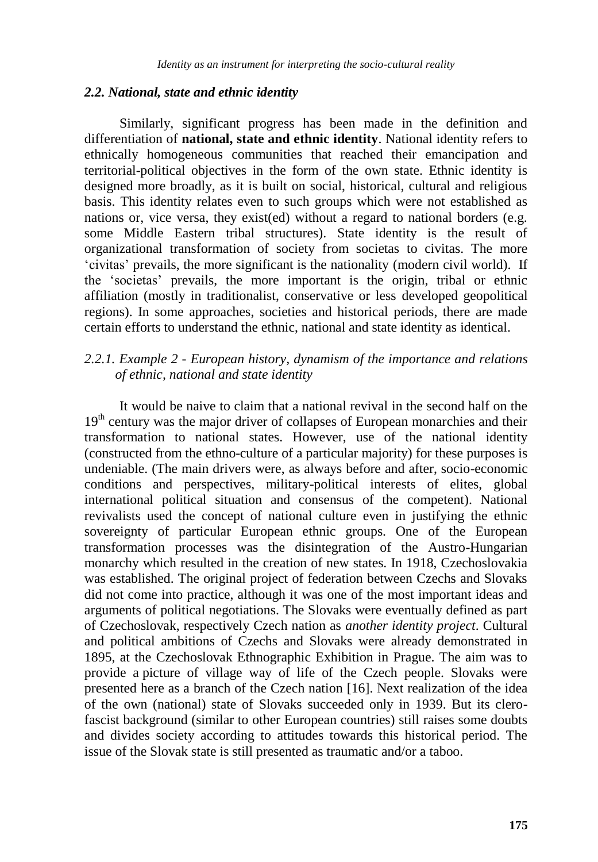#### *2.2. National, state and ethnic identity*

Similarly, significant progress has been made in the definition and differentiation of **national, state and ethnic identity**. National identity refers to ethnically homogeneous communities that reached their emancipation and territorial-political objectives in the form of the own state. Ethnic identity is designed more broadly, as it is built on social, historical, cultural and religious basis. This identity relates even to such groups which were not established as nations or, vice versa, they exist(ed) without a regard to national borders (e.g. some Middle Eastern tribal structures). State identity is the result of organizational transformation of society from societas to civitas. The more 'civitas' prevails, the more significant is the nationality (modern civil world). If the 'societas' prevails, the more important is the origin, tribal or ethnic affiliation (mostly in traditionalist, conservative or less developed geopolitical regions). In some approaches, societies and historical periods, there are made certain efforts to understand the ethnic, national and state identity as identical.

## *2.2.1. Example 2 - European history, dynamism of the importance and relations of ethnic, national and state identity*

It would be naive to claim that a national revival in the second half on the 19<sup>th</sup> century was the major driver of collapses of European monarchies and their transformation to national states. However, use of the national identity (constructed from the ethno-culture of a particular majority) for these purposes is undeniable. (The main drivers were, as always before and after, socio-economic conditions and perspectives, military-political interests of elites, global international political situation and consensus of the competent). National revivalists used the concept of national culture even in justifying the ethnic sovereignty of particular European ethnic groups. One of the European transformation processes was the disintegration of the Austro-Hungarian monarchy which resulted in the creation of new states. In 1918, Czechoslovakia was established. The original project of federation between Czechs and Slovaks did not come into practice, although it was one of the most important ideas and arguments of political negotiations. The Slovaks were eventually defined as part of Czechoslovak, respectively Czech nation as *another identity project*. Cultural and political ambitions of Czechs and Slovaks were already demonstrated in 1895, at the Czechoslovak Ethnographic Exhibition in Prague. The aim was to provide a picture of village way of life of the Czech people. Slovaks were presented here as a branch of the Czech nation [16]. Next realization of the idea of the own (national) state of Slovaks succeeded only in 1939. But its clerofascist background (similar to other European countries) still raises some doubts and divides society according to attitudes towards this historical period. The issue of the Slovak state is still presented as traumatic and/or a taboo.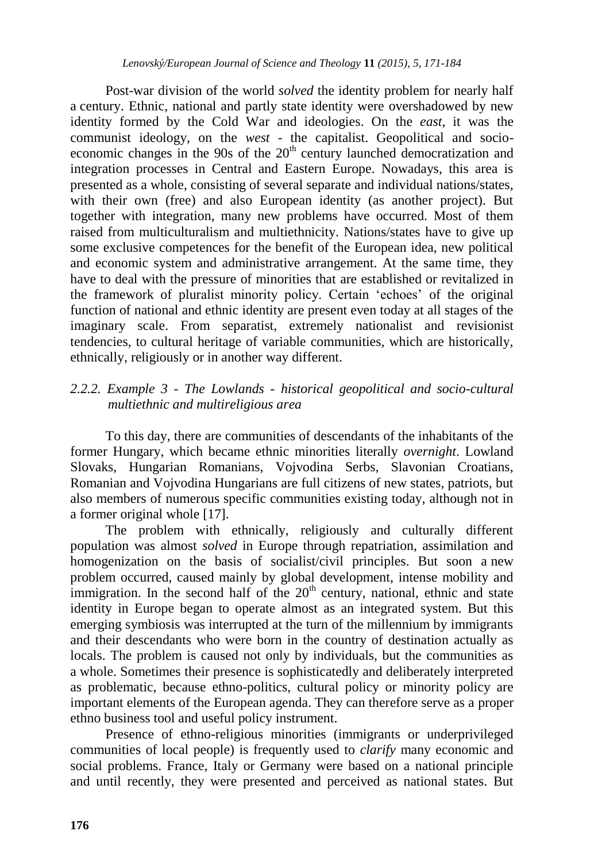Post-war division of the world *solved* the identity problem for nearly half a century. Ethnic, national and partly state identity were overshadowed by new identity formed by the Cold War and ideologies. On the *east*, it was the communist ideology, on the *west* - the capitalist. Geopolitical and socioeconomic changes in the 90s of the  $20<sup>th</sup>$  century launched democratization and integration processes in Central and Eastern Europe. Nowadays, this area is presented as a whole, consisting of several separate and individual nations/states, with their own (free) and also European identity (as another project). But together with integration, many new problems have occurred. Most of them raised from multiculturalism and multiethnicity. Nations/states have to give up some exclusive competences for the benefit of the European idea, new political and economic system and administrative arrangement. At the same time, they have to deal with the pressure of minorities that are established or revitalized in the framework of pluralist minority policy. Certain 'echoes' of the original function of national and ethnic identity are present even today at all stages of the imaginary scale. From separatist, extremely nationalist and revisionist tendencies, to cultural heritage of variable communities, which are historically, ethnically, religiously or in another way different.

# *2.2.2. Example 3 - The Lowlands - historical geopolitical and socio-cultural multiethnic and multireligious area*

To this day, there are communities of descendants of the inhabitants of the former Hungary, which became ethnic minorities literally *overnight*. Lowland Slovaks, Hungarian Romanians, Vojvodina Serbs, Slavonian Croatians, Romanian and Vojvodina Hungarians are full citizens of new states, patriots, but also members of numerous specific communities existing today, although not in a former original whole [17].

The problem with ethnically, religiously and culturally different population was almost *solved* in Europe through repatriation, assimilation and homogenization on the basis of socialist/civil principles. But soon a new problem occurred, caused mainly by global development, intense mobility and immigration. In the second half of the  $20<sup>th</sup>$  century, national, ethnic and state identity in Europe began to operate almost as an integrated system. But this emerging symbiosis was interrupted at the turn of the millennium by immigrants and their descendants who were born in the country of destination actually as locals. The problem is caused not only by individuals, but the communities as a whole. Sometimes their presence is sophisticatedly and deliberately interpreted as problematic, because ethno-politics, cultural policy or minority policy are important elements of the European agenda. They can therefore serve as a proper ethno business tool and useful policy instrument.

Presence of ethno-religious minorities (immigrants or underprivileged communities of local people) is frequently used to *clarify* many economic and social problems. France, Italy or Germany were based on a national principle and until recently, they were presented and perceived as national states. But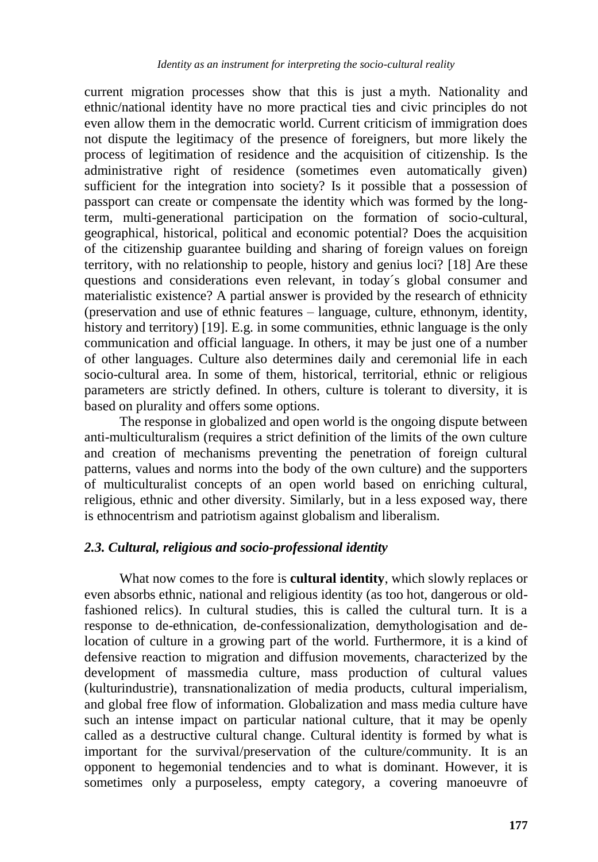current migration processes show that this is just a myth. Nationality and ethnic/national identity have no more practical ties and civic principles do not even allow them in the democratic world. Current criticism of immigration does not dispute the legitimacy of the presence of foreigners, but more likely the process of legitimation of residence and the acquisition of citizenship. Is the administrative right of residence (sometimes even automatically given) sufficient for the integration into society? Is it possible that a possession of passport can create or compensate the identity which was formed by the longterm, multi-generational participation on the formation of socio-cultural, geographical, historical, political and economic potential? Does the acquisition of the citizenship guarantee building and sharing of foreign values on foreign territory, with no relationship to people, history and genius loci? [18] Are these questions and considerations even relevant, in today´s global consumer and materialistic existence? A partial answer is provided by the research of ethnicity (preservation and use of ethnic features – language, culture, ethnonym, identity, history and territory) [19]. E.g. in some communities, ethnic language is the only communication and official language. In others, it may be just one of a number of other languages. Culture also determines daily and ceremonial life in each socio-cultural area. In some of them, historical, territorial, ethnic or religious parameters are strictly defined. In others, culture is tolerant to diversity, it is based on plurality and offers some options.

The response in globalized and open world is the ongoing dispute between anti-multiculturalism (requires a strict definition of the limits of the own culture and creation of mechanisms preventing the penetration of foreign cultural patterns, values and norms into the body of the own culture) and the supporters of multiculturalist concepts of an open world based on enriching cultural, religious, ethnic and other diversity. Similarly, but in a less exposed way, there is ethnocentrism and patriotism against globalism and liberalism.

## *2.3. Cultural, religious and socio-professional identity*

What now comes to the fore is **cultural identity**, which slowly replaces or even absorbs ethnic, national and religious identity (as too hot, dangerous or oldfashioned relics). In cultural studies, this is called the cultural turn. It is a response to de-ethnication, de-confessionalization, demythologisation and delocation of culture in a growing part of the world. Furthermore, it is a kind of defensive reaction to migration and diffusion movements, characterized by the development of massmedia culture, mass production of cultural values (kulturindustrie), transnationalization of media products, cultural imperialism, and global free flow of information. Globalization and mass media culture have such an intense impact on particular national culture, that it may be openly called as a destructive cultural change. Cultural identity is formed by what is important for the survival/preservation of the culture/community. It is an opponent to hegemonial tendencies and to what is dominant. However, it is sometimes only a purposeless, empty category, a covering manoeuvre of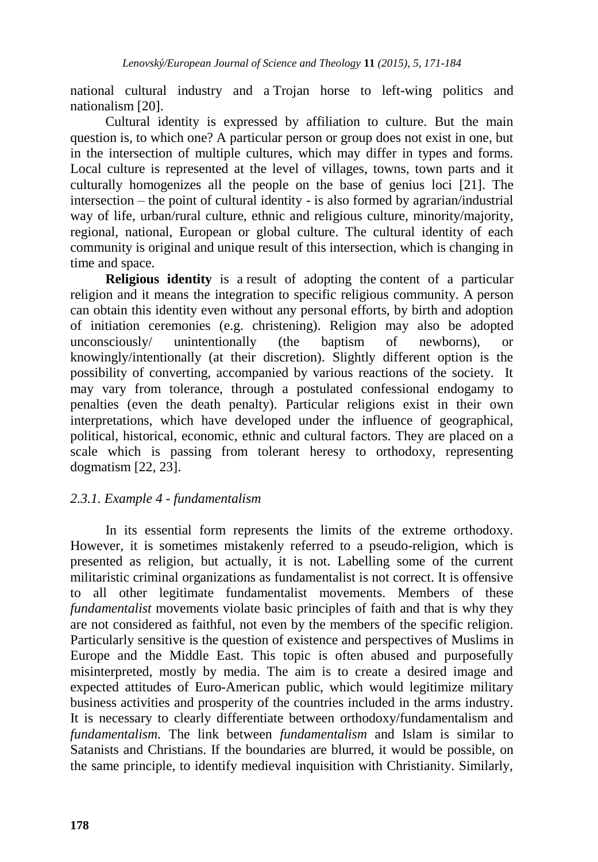national cultural industry and a Trojan horse to left-wing politics and nationalism [20].

Cultural identity is expressed by affiliation to culture. But the main question is, to which one? A particular person or group does not exist in one, but in the intersection of multiple cultures, which may differ in types and forms. Local culture is represented at the level of villages, towns, town parts and it culturally homogenizes all the people on the base of genius loci [21]. The intersection – the point of cultural identity - is also formed by agrarian/industrial way of life, urban/rural culture, ethnic and religious culture, minority/majority, regional, national, European or global culture. The cultural identity of each community is original and unique result of this intersection, which is changing in time and space.

**Religious identity** is a result of adopting the content of a particular religion and it means the integration to specific religious community. A person can obtain this identity even without any personal efforts, by birth and adoption of initiation ceremonies (e.g. christening). Religion may also be adopted unconsciously/ unintentionally (the baptism of newborns), or knowingly/intentionally (at their discretion). Slightly different option is the possibility of converting, accompanied by various reactions of the society. It may vary from tolerance, through a postulated confessional endogamy to penalties (even the death penalty). Particular religions exist in their own interpretations, which have developed under the influence of geographical, political, historical, economic, ethnic and cultural factors. They are placed on a scale which is passing from tolerant heresy to orthodoxy, representing dogmatism [22, 23].

## *2.3.1. Example 4 - fundamentalism*

In its essential form represents the limits of the extreme orthodoxy. However, it is sometimes mistakenly referred to a pseudo-religion, which is presented as religion, but actually, it is not. Labelling some of the current militaristic criminal organizations as fundamentalist is not correct. It is offensive to all other legitimate fundamentalist movements. Members of these *fundamentalist* movements violate basic principles of faith and that is why they are not considered as faithful, not even by the members of the specific religion. Particularly sensitive is the question of existence and perspectives of Muslims in Europe and the Middle East. This topic is often abused and purposefully misinterpreted, mostly by media. The aim is to create a desired image and expected attitudes of Euro-American public, which would legitimize military business activities and prosperity of the countries included in the arms industry. It is necessary to clearly differentiate between orthodoxy/fundamentalism and *fundamentalism*. The link between *fundamentalism* and Islam is similar to Satanists and Christians. If the boundaries are blurred, it would be possible, on the same principle, to identify medieval inquisition with Christianity. Similarly,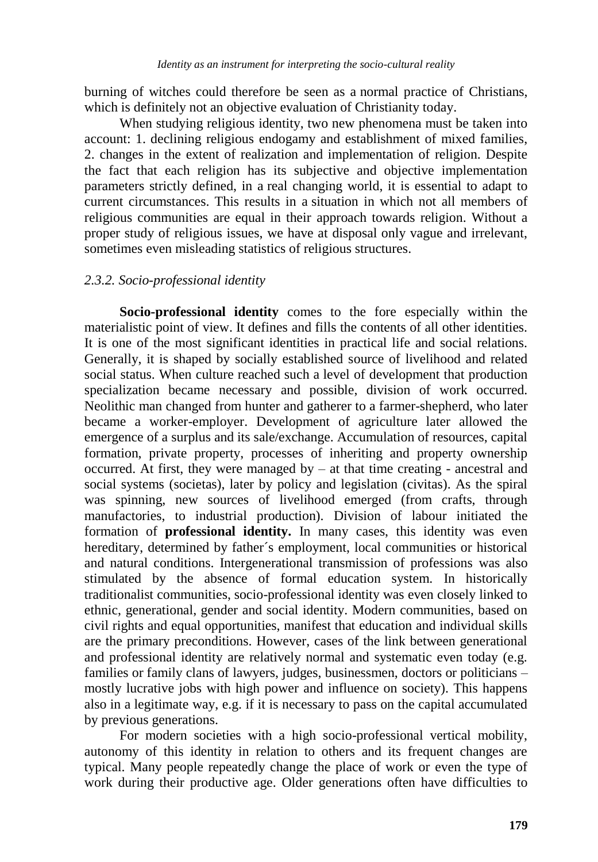burning of witches could therefore be seen as a normal practice of Christians, which is definitely not an objective evaluation of Christianity today.

When studying religious identity, two new phenomena must be taken into account: 1. declining religious endogamy and establishment of mixed families, 2. changes in the extent of realization and implementation of religion. Despite the fact that each religion has its subjective and objective implementation parameters strictly defined, in a real changing world, it is essential to adapt to current circumstances. This results in a situation in which not all members of religious communities are equal in their approach towards religion. Without a proper study of religious issues, we have at disposal only vague and irrelevant, sometimes even misleading statistics of religious structures.

## *2.3.2. Socio-professional identity*

**Socio-professional identity** comes to the fore especially within the materialistic point of view. It defines and fills the contents of all other identities. It is one of the most significant identities in practical life and social relations. Generally, it is shaped by socially established source of livelihood and related social status. When culture reached such a level of development that production specialization became necessary and possible, division of work occurred. Neolithic man changed from hunter and gatherer to a farmer-shepherd, who later became a worker-employer. Development of agriculture later allowed the emergence of a surplus and its sale/exchange. Accumulation of resources, capital formation, private property, processes of inheriting and property ownership occurred. At first, they were managed by – at that time creating - ancestral and social systems (societas), later by policy and legislation (civitas). As the spiral was spinning, new sources of livelihood emerged (from crafts, through manufactories, to industrial production). Division of labour initiated the formation of **professional identity.** In many cases, this identity was even hereditary, determined by father´s employment, local communities or historical and natural conditions. Intergenerational transmission of professions was also stimulated by the absence of formal education system. In historically traditionalist communities, socio-professional identity was even closely linked to ethnic, generational, gender and social identity. Modern communities, based on civil rights and equal opportunities, manifest that education and individual skills are the primary preconditions. However, cases of the link between generational and professional identity are relatively normal and systematic even today (e.g. families or family clans of lawyers, judges, businessmen, doctors or politicians – mostly lucrative jobs with high power and influence on society). This happens also in a legitimate way, e.g. if it is necessary to pass on the capital accumulated by previous generations.

For modern societies with a high socio-professional vertical mobility, autonomy of this identity in relation to others and its frequent changes are typical. Many people repeatedly change the place of work or even the type of work during their productive age. Older generations often have difficulties to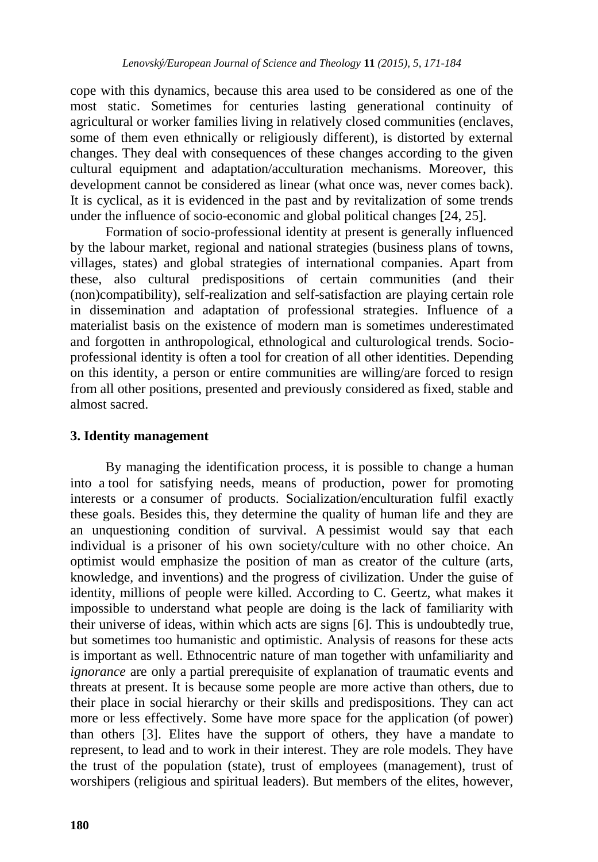cope with this dynamics, because this area used to be considered as one of the most static. Sometimes for centuries lasting generational continuity of agricultural or worker families living in relatively closed communities (enclaves, some of them even ethnically or religiously different), is distorted by external changes. They deal with consequences of these changes according to the given cultural equipment and adaptation/acculturation mechanisms. Moreover, this development cannot be considered as linear (what once was, never comes back). It is cyclical, as it is evidenced in the past and by revitalization of some trends under the influence of socio-economic and global political changes [24, 25].

Formation of socio-professional identity at present is generally influenced by the labour market, regional and national strategies (business plans of towns, villages, states) and global strategies of international companies. Apart from these, also cultural predispositions of certain communities (and their (non)compatibility), self-realization and self-satisfaction are playing certain role in dissemination and adaptation of professional strategies. Influence of a materialist basis on the existence of modern man is sometimes underestimated and forgotten in anthropological, ethnological and culturological trends. Socioprofessional identity is often a tool for creation of all other identities. Depending on this identity, a person or entire communities are willing/are forced to resign from all other positions, presented and previously considered as fixed, stable and almost sacred.

# **3. Identity management**

By managing the identification process, it is possible to change a human into a tool for satisfying needs, means of production, power for promoting interests or a consumer of products. Socialization/enculturation fulfil exactly these goals. Besides this, they determine the quality of human life and they are an unquestioning condition of survival. A pessimist would say that each individual is a prisoner of his own society/culture with no other choice. An optimist would emphasize the position of man as creator of the culture (arts, knowledge, and inventions) and the progress of civilization. Under the guise of identity, millions of people were killed. According to C. Geertz, what makes it impossible to understand what people are doing is the lack of familiarity with their universe of ideas, within which acts are signs [6]. This is undoubtedly true, but sometimes too humanistic and optimistic. Analysis of reasons for these acts is important as well. Ethnocentric nature of man together with unfamiliarity and *ignorance* are only a partial prerequisite of explanation of traumatic events and threats at present. It is because some people are more active than others, due to their place in social hierarchy or their skills and predispositions. They can act more or less effectively. Some have more space for the application (of power) than others [3]. Elites have the support of others, they have a mandate to represent, to lead and to work in their interest. They are role models. They have the trust of the population (state), trust of employees (management), trust of worshipers (religious and spiritual leaders). But members of the elites, however,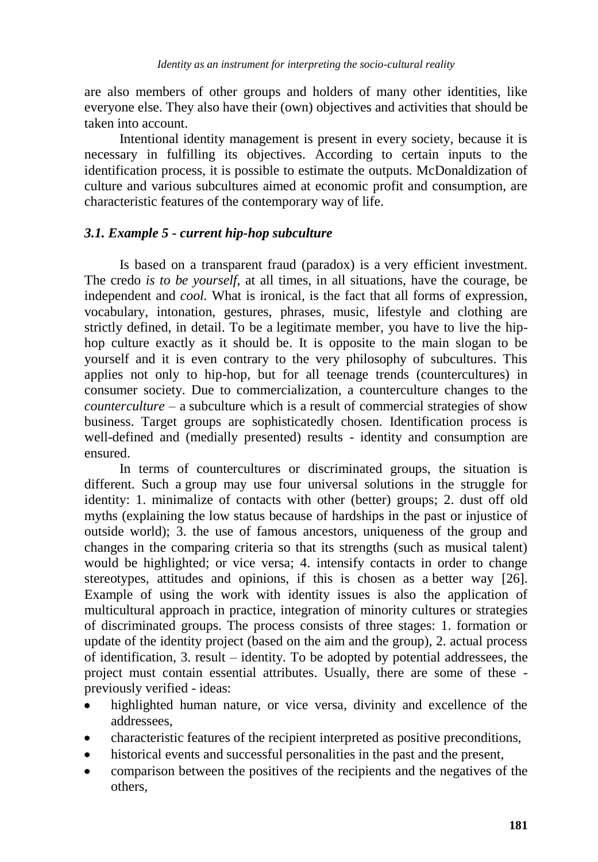are also members of other groups and holders of many other identities, like everyone else. They also have their (own) objectives and activities that should be taken into account.

Intentional identity management is present in every society, because it is necessary in fulfilling its objectives. According to certain inputs to the identification process, it is possible to estimate the outputs. McDonaldization of culture and various subcultures aimed at economic profit and consumption, are characteristic features of the contemporary way of life.

## *3.1. Example 5 - current hip-hop subculture*

Is based on a transparent fraud (paradox) is a very efficient investment. The credo *is to be yourself*, at all times, in all situations, have the courage, be independent and *cool.* What is ironical, is the fact that all forms of expression, vocabulary, intonation, gestures, phrases, music, lifestyle and clothing are strictly defined, in detail. To be a legitimate member, you have to live the hiphop culture exactly as it should be. It is opposite to the main slogan to be yourself and it is even contrary to the very philosophy of subcultures. This applies not only to hip-hop, but for all teenage trends (countercultures) in consumer society. Due to commercialization, a counterculture changes to the *counterculture* – a subculture which is a result of commercial strategies of show business. Target groups are sophisticatedly chosen. Identification process is well-defined and (medially presented) results - identity and consumption are ensured.

In terms of countercultures or discriminated groups, the situation is different. Such a group may use four universal solutions in the struggle for identity: 1. minimalize of contacts with other (better) groups; 2. dust off old myths (explaining the low status because of hardships in the past or injustice of outside world); 3. the use of famous ancestors, uniqueness of the group and changes in the comparing criteria so that its strengths (such as musical talent) would be highlighted; or vice versa; 4. intensify contacts in order to change stereotypes, attitudes and opinions, if this is chosen as a better way [26]. Example of using the work with identity issues is also the application of multicultural approach in practice, integration of minority cultures or strategies of discriminated groups. The process consists of three stages: 1. formation or update of the identity project (based on the aim and the group), 2. actual process of identification, 3. result – identity. To be adopted by potential addressees, the project must contain essential attributes. Usually, there are some of these previously verified - ideas:

- highlighted human nature, or vice versa, divinity and excellence of the addressees,
- characteristic features of the recipient interpreted as positive preconditions,
- historical events and successful personalities in the past and the present,
- comparison between the positives of the recipients and the negatives of the others,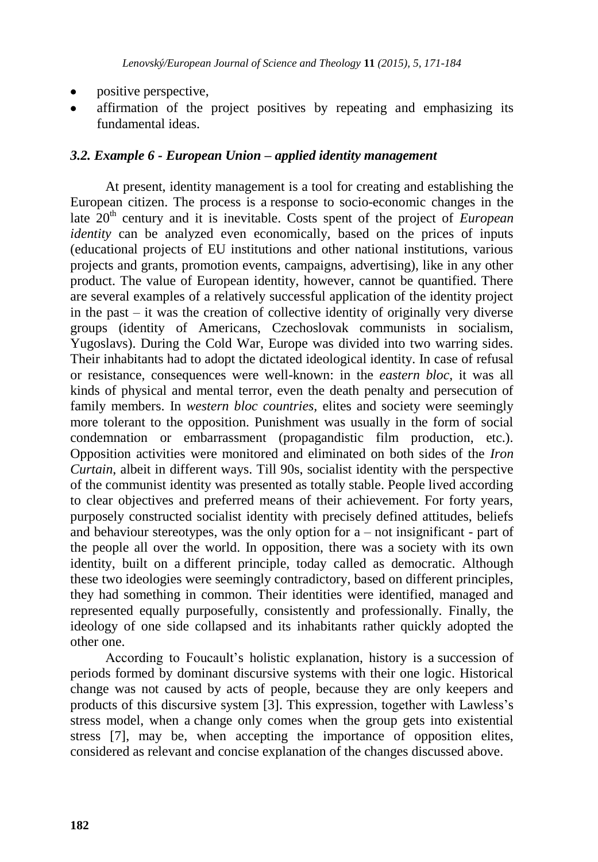- positive perspective,
- affirmation of the project positives by repeating and emphasizing its fundamental ideas.

## *3.2. Example 6 - European Union – applied identity management*

At present, identity management is a tool for creating and establishing the European citizen. The process is a response to socio-economic changes in the late 20<sup>th</sup> century and it is inevitable. Costs spent of the project of *European identity* can be analyzed even economically, based on the prices of inputs (educational projects of EU institutions and other national institutions, various projects and grants, promotion events, campaigns, advertising), like in any other product. The value of European identity, however, cannot be quantified. There are several examples of a relatively successful application of the identity project in the past – it was the creation of collective identity of originally very diverse groups (identity of Americans, Czechoslovak communists in socialism, Yugoslavs). During the Cold War, Europe was divided into two warring sides. Their inhabitants had to adopt the dictated ideological identity. In case of refusal or resistance, consequences were well-known: in the *eastern bloc*, it was all kinds of physical and mental terror, even the death penalty and persecution of family members. In *western bloc countries,* elites and society were seemingly more tolerant to the opposition. Punishment was usually in the form of social condemnation or embarrassment (propagandistic film production, etc.). Opposition activities were monitored and eliminated on both sides of the *Iron Curtain*, albeit in different ways. Till 90s, socialist identity with the perspective of the communist identity was presented as totally stable. People lived according to clear objectives and preferred means of their achievement. For forty years, purposely constructed socialist identity with precisely defined attitudes, beliefs and behaviour stereotypes, was the only option for a – not insignificant - part of the people all over the world. In opposition, there was a society with its own identity, built on a different principle, today called as democratic. Although these two ideologies were seemingly contradictory, based on different principles, they had something in common. Their identities were identified, managed and represented equally purposefully, consistently and professionally. Finally, the ideology of one side collapsed and its inhabitants rather quickly adopted the other one.

According to Foucault's holistic explanation, history is a succession of periods formed by dominant discursive systems with their one logic. Historical change was not caused by acts of people, because they are only keepers and products of this discursive system [3]. This expression, together with Lawless's stress model, when a change only comes when the group gets into existential stress [7], may be, when accepting the importance of opposition elites, considered as relevant and concise explanation of the changes discussed above.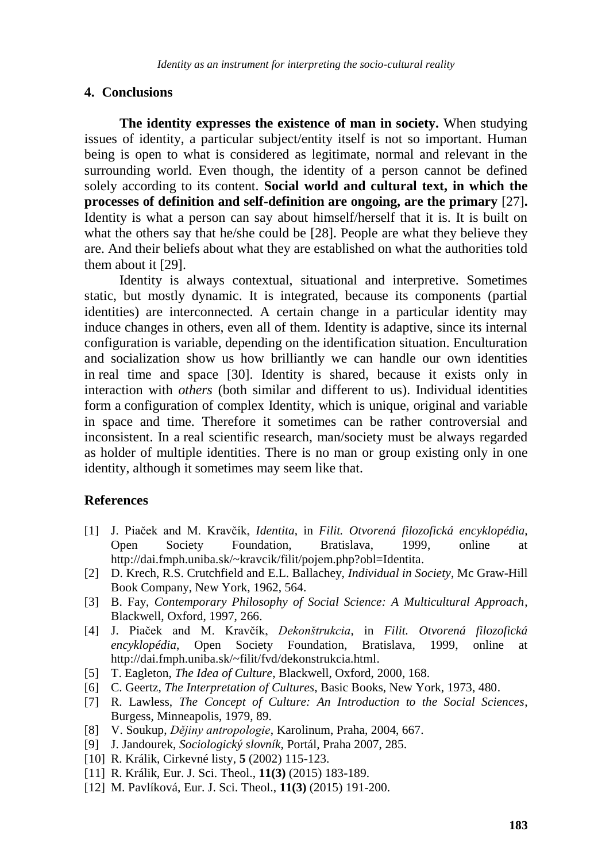#### **4. Conclusions**

**The identity expresses the existence of man in society.** When studying issues of identity, a particular subject/entity itself is not so important. Human being is open to what is considered as legitimate, normal and relevant in the surrounding world. Even though, the identity of a person cannot be defined solely according to its content. **Social world and cultural text, in which the processes of definition and self-definition are ongoing, are the primary** [27]**.** Identity is what a person can say about himself/herself that it is. It is built on what the others say that he/she could be [28]. People are what they believe they are. And their beliefs about what they are established on what the authorities told them about it [29].

Identity is always contextual, situational and interpretive. Sometimes static, but mostly dynamic. It is integrated, because its components (partial identities) are interconnected. A certain change in a particular identity may induce changes in others, even all of them. Identity is adaptive, since its internal configuration is variable, depending on the identification situation. Enculturation and socialization show us how brilliantly we can handle our own identities in real time and space [30]. Identity is shared, because it exists only in interaction with *others* (both similar and different to us). Individual identities form a configuration of complex Identity, which is unique, original and variable in space and time. Therefore it sometimes can be rather controversial and inconsistent. In a real scientific research, man/society must be always regarded as holder of multiple identities. There is no man or group existing only in one identity, although it sometimes may seem like that.

## **References**

- [1] J. Piaček and M. Kravčík, *Identita*, in *Filit. Otvorená filozofická encyklopédia*, Open Society Foundation, Bratislava, 1999, online at http://dai.fmph.uniba.sk/~kravcik/filit/pojem.php?obl=Identita.
- [2] D. Krech, R.S. Crutchfield and E.L. Ballachey, *Individual in Society*, Mc Graw-Hill Book Company, New York, 1962, 564.
- [3] B. Fay, *Contemporary Philosophy of Social Science: A Multicultural Approach*, Blackwell, Oxford, 1997, 266.
- [4] J. Piaček and M. Kravčík, *Dekonštrukcia*, in *Filit. Otvorená filozofická encyklopédia*, Open Society Foundation, Bratislava, 1999, online at http://dai.fmph.uniba.sk/~filit/fvd/dekonstrukcia.html.
- [5] T. Eagleton, *The Idea of Culture*, Blackwell, Oxford, 2000, 168.
- [6] C. Geertz, *The Interpretation of Cultures*, Basic Books, New York, 1973, 480.
- [7] R. Lawless, *The Concept of Culture: An Introduction to the Social Sciences*, Burgess, Minneapolis, 1979, 89.
- [8] V. Soukup, *Dějiny antropologie*, Karolinum, Praha, 2004, 667.
- [9] J. Jandourek*, Sociologický slovník,* Portál, Praha 2007, 285.
- [10] R. Králik, Cirkevné listy, **5** (2002) 115-123.
- [11] R. Králik, Eur. J. Sci. Theol., **11(3)** (2015) 183-189.
- [12] M. Pavlíková, Eur. J. Sci. Theol., **11(3)** (2015) 191-200.